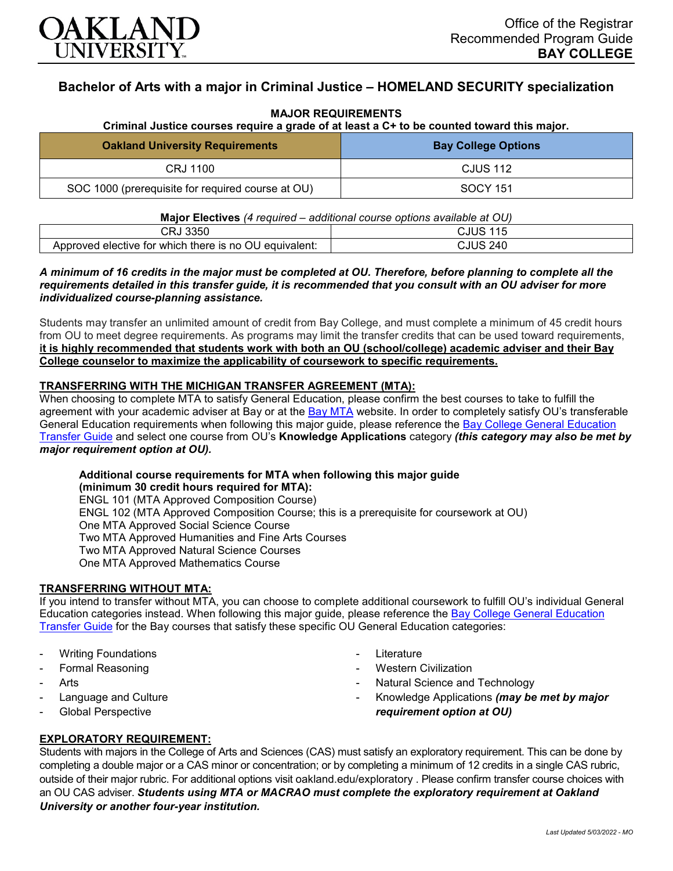

# **Bachelor of Arts with a major in Criminal Justice – HOMELAND SECURITY specialization**

### **MAJOR REQUIREMENTS**

**Criminal Justice courses require a grade of at least a C+ to be counted toward this major.**

| <b>Oakland University Requirements</b>            | <b>Bay College Options</b> |
|---------------------------------------------------|----------------------------|
| CRJ 1100                                          | <b>CJUS 112</b>            |
| SOC 1000 (prerequisite for required course at OU) | SOCY 151                   |

| <b>Major Electives</b> (4 required – additional course options available at OU) |                 |
|---------------------------------------------------------------------------------|-----------------|
| CRJ 3350                                                                        | <b>CJUS 115</b> |
| Approved elective for which there is no OU equivalent:                          | <b>CJUS 240</b> |

### *A minimum of 16 credits in the major must be completed at OU. Therefore, before planning to complete all the requirements detailed in this transfer guide, it is recommended that you consult with an OU adviser for more individualized course-planning assistance.*

Students may transfer an unlimited amount of credit from Bay College, and must complete a minimum of 45 credit hours from OU to meet degree requirements. As programs may limit the transfer credits that can be used toward requirements, **it is highly recommended that students work with both an OU (school/college) academic adviser and their Bay College counselor to maximize the applicability of coursework to specific requirements.**

## **TRANSFERRING WITH THE MICHIGAN TRANSFER AGREEMENT (MTA):**

When choosing to complete MTA to satisfy General Education, please confirm the best courses to take to fulfill the agreement with your academic adviser at Bay or at the [Bay MTA](https://www.baycollege.edu/admissions/transfer/transfer-agreements.php) website. In order to completely satisfy OU's transferable General Education requirements when following this major guide, please reference the [Bay College General Education](https://www.oakland.edu/Assets/Oakland/program-guides/bay-college/university-general-education-requirements/Bay%20Gen%20Ed.pdf)  [Transfer Guide](https://www.oakland.edu/Assets/Oakland/program-guides/bay-college/university-general-education-requirements/Bay%20Gen%20Ed.pdf) and select one course from OU's **Knowledge Applications** category *(this category may also be met by major requirement option at OU).*

# **Additional course requirements for MTA when following this major guide (minimum 30 credit hours required for MTA):**

ENGL 101 (MTA Approved Composition Course) ENGL 102 (MTA Approved Composition Course; this is a prerequisite for coursework at OU) One MTA Approved Social Science Course Two MTA Approved Humanities and Fine Arts Courses Two MTA Approved Natural Science Courses One MTA Approved Mathematics Course

### **TRANSFERRING WITHOUT MTA:**

If you intend to transfer without MTA, you can choose to complete additional coursework to fulfill OU's individual General Education categories instead. When following this major guide, please reference the [Bay College General Education](https://www.oakland.edu/Assets/Oakland/program-guides/bay-college/university-general-education-requirements/Bay%20Gen%20Ed.pdf)  [Transfer Guide](https://www.oakland.edu/Assets/Oakland/program-guides/bay-college/university-general-education-requirements/Bay%20Gen%20Ed.pdf) for the Bay courses that satisfy these specific OU General Education categories:

- **Writing Foundations**
- Formal Reasoning
- **Arts**
- Language and Culture
- Global Perspective
- **Literature**
- Western Civilization
- Natural Science and Technology
- Knowledge Applications *(may be met by major requirement option at OU)*

## **EXPLORATORY REQUIREMENT:**

Students with majors in the College of Arts and Sciences (CAS) must satisfy an exploratory requirement. This can be done by completing a double major or a CAS minor or concentration; or by completing a minimum of 12 credits in a single CAS rubric, outside of their major rubric. For additional options visit [oakland.edu/exploratory](http://www.oakland.edu/exploratory) . Please confirm transfer course choices with an OU CAS adviser. *Students using MTA or MACRAO must complete the exploratory requirement at Oakland University or another four-year institution.*